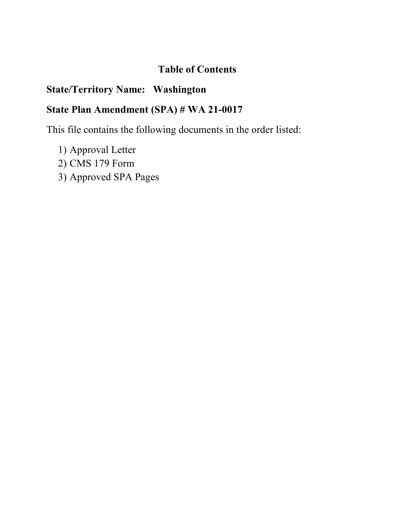# **Table of Contents**

# **State/Territory Name: Washington**

# **State Plan Amendment (SPA) # WA 21-0017**

This file contains the following documents in the order listed:

- 1) Approval Letter
- 2) CMS 179 Form
- 3) Approved SPA Pages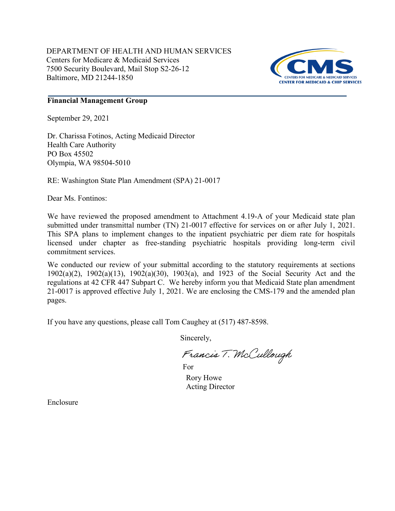DEPARTMENT OF HEALTH AND HUMAN SERVICES Centers for Medicare & Medicaid Services 7500 Security Boulevard, Mail Stop S2-26-12 Baltimore, MD 21244-1850



### **Financial Management Group**

September 29, 2021

Dr. Charissa Fotinos, Acting Medicaid Director Health Care Authority PO Box 45502 Olympia, WA 98504-5010

RE: Washington State Plan Amendment (SPA) 21-0017

Dear Ms. Fontinos:

We have reviewed the proposed amendment to Attachment 4.19-A of your Medicaid state plan submitted under transmittal number (TN) 21-0017 effective for services on or after July 1, 2021. This SPA plans to implement changes to the inpatient psychiatric per diem rate for hospitals licensed under chapter as free-standing psychiatric hospitals providing long-term civil commitment services.

We conducted our review of your submittal according to the statutory requirements at sections 1902(a)(2), 1902(a)(13), 1902(a)(30), 1903(a), and 1923 of the Social Security Act and the regulations at 42 CFR 447 Subpart C. We hereby inform you that Medicaid State plan amendment 21-0017 is approved effective July 1, 2021. We are enclosing the CMS-179 and the amended plan pages.

If you have any questions, please call Tom Caughey at (517) 487-8598.

Sincerely,

Francis T. McCullough

Rory Howe Acting Director For

Enclosure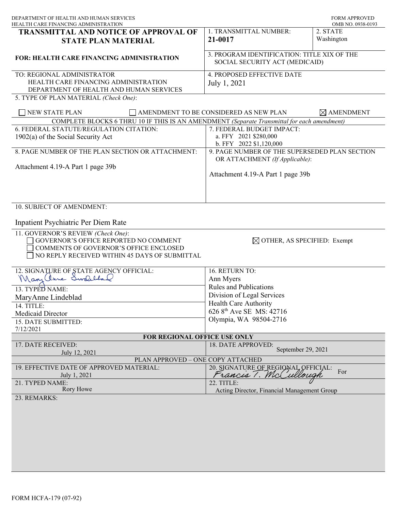| DEPARTMENT OF HEALTH AND HUMAN SERVICES<br>HEALTH CARE FINANCING ADMINISTRATION                                                                                        |                                                                                                            | <b>FORM APPROVED</b><br>OMB NO. 0938-0193 |
|------------------------------------------------------------------------------------------------------------------------------------------------------------------------|------------------------------------------------------------------------------------------------------------|-------------------------------------------|
| <b>TRANSMITTAL AND NOTICE OF APPROVAL OF</b><br><b>STATE PLAN MATERIAL</b>                                                                                             | 1. TRANSMITTAL NUMBER:<br>21-0017                                                                          | 2. STATE<br>Washington                    |
| <b>FOR: HEALTH CARE FINANCING ADMINISTRATION</b>                                                                                                                       | 3. PROGRAM IDENTIFICATION: TITLE XIX OF THE<br>SOCIAL SECURITY ACT (MEDICAID)                              |                                           |
| TO: REGIONAL ADMINISTRATOR<br>HEALTH CARE FINANCING ADMINISTRATION<br>DEPARTMENT OF HEALTH AND HUMAN SERVICES<br>5. TYPE OF PLAN MATERIAL (Check One):                 | 4. PROPOSED EFFECTIVE DATE<br>July 1, 2021                                                                 |                                           |
| NEW STATE PLAN                                                                                                                                                         | AMENDMENT TO BE CONSIDERED AS NEW PLAN                                                                     | $\boxtimes$ AMENDMENT                     |
| COMPLETE BLOCKS 6 THRU 10 IF THIS IS AN AMENDMENT (Separate Transmittal for each amendment)                                                                            |                                                                                                            |                                           |
| 6. FEDERAL STATUTE/REGULATION CITATION:                                                                                                                                | 7. FEDERAL BUDGET IMPACT:                                                                                  |                                           |
| $1902(a)$ of the Social Security Act                                                                                                                                   | a. FFY 2021 \$280,000                                                                                      |                                           |
| 8. PAGE NUMBER OF THE PLAN SECTION OR ATTACHMENT:                                                                                                                      | b. FFY 2022 \$1,120,000<br>9. PAGE NUMBER OF THE SUPERSEDED PLAN SECTION<br>OR ATTACHMENT (If Applicable): |                                           |
| Attachment 4.19-A Part 1 page 39b                                                                                                                                      | Attachment 4.19-A Part 1 page 39b                                                                          |                                           |
| 10. SUBJECT OF AMENDMENT:                                                                                                                                              |                                                                                                            |                                           |
| Inpatient Psychiatric Per Diem Rate                                                                                                                                    |                                                                                                            |                                           |
| 11. GOVERNOR'S REVIEW (Check One):<br>GOVERNOR'S OFFICE REPORTED NO COMMENT<br>COMMENTS OF GOVERNOR'S OFFICE ENCLOSED<br>NO REPLY RECEIVED WITHIN 45 DAYS OF SUBMITTAL | $\boxtimes$ OTHER, AS SPECIFIED: Exempt                                                                    |                                           |
| 12. SIGNATURE OF STATE AGENCY OFFICIAL:                                                                                                                                | 16. RETURN TO:                                                                                             |                                           |
| Mary Chue Swalelas                                                                                                                                                     | Ann Myers                                                                                                  |                                           |
| 13. TYPED NAME:                                                                                                                                                        | <b>Rules and Publications</b>                                                                              |                                           |
| MaryAnne Lindeblad                                                                                                                                                     | Division of Legal Services                                                                                 |                                           |
| 14. TITLE:                                                                                                                                                             | Health Care Authority                                                                                      |                                           |
| Medicaid Director                                                                                                                                                      | 626 8 <sup>th</sup> Ave SE MS: 42716                                                                       |                                           |
| 15. DATE SUBMITTED:                                                                                                                                                    | Olympia, WA 98504-2716                                                                                     |                                           |
| 7/12/2021                                                                                                                                                              |                                                                                                            |                                           |
| FOR REGIONAL OFFICE USE ONLY                                                                                                                                           |                                                                                                            |                                           |
| 17. DATE RECEIVED:                                                                                                                                                     | 18. DATE APPROVED:                                                                                         |                                           |
| July 12, 2021                                                                                                                                                          | September 29, 2021                                                                                         |                                           |
| PLAN APPROVED - ONE COPY ATTACHED                                                                                                                                      |                                                                                                            |                                           |
| 19. EFFECTIVE DATE OF APPROVED MATERIAL:<br>July 1, 2021                                                                                                               | 20. SIGNATURE OF REGIONAL OFFICIAL:<br>Francis 1. McCullough                                               | For                                       |
| 21. TYPED NAME:                                                                                                                                                        | 22. TITLE:                                                                                                 |                                           |
| Rory Howe                                                                                                                                                              | Acting Director, Financial Management Group                                                                |                                           |
| 23. REMARKS:                                                                                                                                                           |                                                                                                            |                                           |